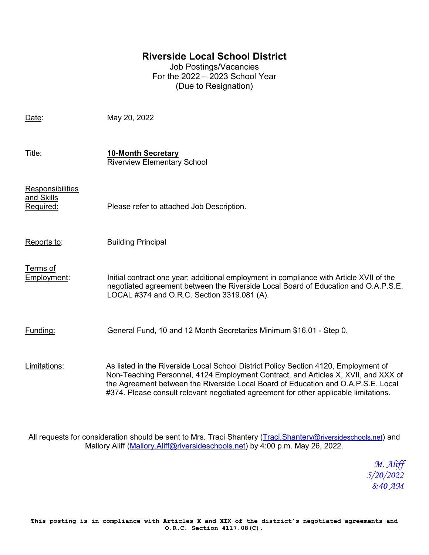## **Riverside Local School District**

Job Postings/Vacancies For the 2022 – 2023 School Year (Due to Resignation)

Date: May 20, 2022 Title: **10-Month Secretary** Riverview Elementary School **Responsibilities** and Skills Required: Please refer to attached Job Description. Reports to: Building Principal Terms of Employment: Initial contract one year; additional employment in compliance with Article XVII of the negotiated agreement between the Riverside Local Board of Education and O.A.P.S.E. LOCAL #374 and O.R.C. Section 3319.081 (A). Funding: General Fund, 10 and 12 Month Secretaries Minimum \$16.01 - Step 0. Limitations: As listed in the Riverside Local School District Policy Section 4120, Employment of Non-Teaching Personnel, 4124 Employment Contract, and Articles X, XVII, and XXX of the Agreement between the Riverside Local Board of Education and O.A.P.S.E. Local #374. Please consult relevant negotiated agreement for other applicable limitations.

All requests for consideration should be sent to Mrs. Traci Shantery [\(Traci.Shantery@riversideschools.net\)](mailto:Traci.Shantery@riversideschools.net) and Mallory Aliff [\(Mallory.Aliff@riversideschools.net\)](mailto:Mallory.Aliff@riversideschools.net) by 4:00 p.m. May 26, 2022.

> *M. Aliff 5/20/2022 8:40 AM*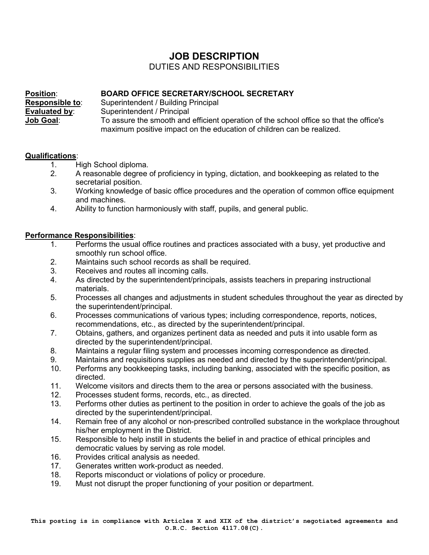# **JOB DESCRIPTION**

## DUTIES AND RESPONSIBILITIES

**Position: BOARD OFFICE SECRETARY/SCHOOL SECRETARY**<br>**Responsible to:** Superintendent / Building Principal **Responsible to**: Superintendent / Building Principal **Superintendent / Principal Job Goal**: To assure the smooth and efficient operation of the school office so that the office's maximum positive impact on the education of children can be realized.

### **Qualifications**:

- 1. High School diploma.<br>2. A reasonable degree
- 2. A reasonable degree of proficiency in typing, dictation, and bookkeeping as related to the secretarial position.
- 3. Working knowledge of basic office procedures and the operation of common office equipment and machines.
- 4. Ability to function harmoniously with staff, pupils, and general public.

### **Performance Responsibilities**:

- 1. Performs the usual office routines and practices associated with a busy, yet productive and smoothly run school office.
- 2. Maintains such school records as shall be required.
- 3. Receives and routes all incoming calls.
- 4. As directed by the superintendent/principals, assists teachers in preparing instructional materials.
- 5. Processes all changes and adjustments in student schedules throughout the year as directed by the superintendent/principal.
- 6. Processes communications of various types; including correspondence, reports, notices, recommendations, etc., as directed by the superintendent/principal.
- 7. Obtains, gathers, and organizes pertinent data as needed and puts it into usable form as directed by the superintendent/principal.
- 8. Maintains a regular filing system and processes incoming correspondence as directed.
- 9. Maintains and requisitions supplies as needed and directed by the superintendent/principal.
- 10. Performs any bookkeeping tasks, including banking, associated with the specific position, as directed.
- 11. Welcome visitors and directs them to the area or persons associated with the business.
- 12. Processes student forms, records, etc., as directed.
- 13. Performs other duties as pertinent to the position in order to achieve the goals of the job as directed by the superintendent/principal.
- 14. Remain free of any alcohol or non-prescribed controlled substance in the workplace throughout his/her employment in the District.
- 15. Responsible to help instill in students the belief in and practice of ethical principles and democratic values by serving as role model.
- 16. Provides critical analysis as needed.
- 17. Generates written work-product as needed.<br>18. Reports misconduct or violations of policy or
- Reports misconduct or violations of policy or procedure.
- 19. Must not disrupt the proper functioning of your position or department.